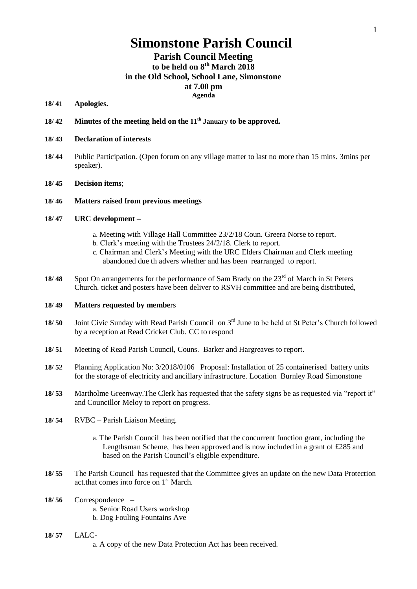# **Simonstone Parish Council**

# **Parish Council Meeting to be held on 8 th March 2018 in the Old School, School Lane, Simonstone at 7.00 pm Agenda**

# **18/ 41 Apologies.**

**18/ 42 Minutes of the meeting held on the 11th January to be approved.**

#### **18/ 43 Declaration of interests**

- **18/ 44** Public Participation. (Open forum on any village matter to last no more than 15 mins. 3mins per speaker).
- **18/ 45 Decision items**;

#### **18/ 46 Matters raised from previous meetings**

## **18/ 47 URC development –**

- a. Meeting with Village Hall Committee 23/2/18 Coun. Greera Norse to report.
- b. Clerk's meeting with the Trustees 24/2/18. Clerk to report.
- c. Chairman and Clerk's Meeting with the URC Elders Chairman and Clerk meeting abandoned due th advers whether and has been rearranged to report.
- 18/ 48 Spot On arrangements for the performance of Sam Brady on the 23<sup>rd</sup> of March in St Peters Church. ticket and posters have been deliver to RSVH committee and are being distributed,

### **18/ 49 Matters requested by membe**rs

- 18/ 50 Joint Civic Sunday with Read Parish Council on 3<sup>rd</sup> June to be held at St Peter's Church followed by a reception at Read Cricket Club. CC to respond
- **18/ 51** Meeting of Read Parish Council, Couns. Barker and Hargreaves to report.
- **18/ 52** Planning Application No: 3/2018/0106 Proposal: Installation of 25 containerised battery units for the storage of electricity and ancillary infrastructure. Location Burnley Road Simonstone
- **18/ 53** Martholme Greenway.The Clerk has requested that the safety signs be as requested via "report it" and Councillor Meloy to report on progress.
- **18/ 54** RVBC Parish Liaison Meeting.
	- a. The Parish Council has been notified that the concurrent function grant, including the Lengthsman Scheme, has been approved and is now included in a grant of £285 and based on the Parish Council's eligible expenditure.
- **18/ 55** The Parish Council has requested that the Committee gives an update on the new Data Protection act.that comes into force on 1<sup>st</sup> March.
- **18/ 56** Correspondence a. Senior Road Users workshop b. Dog Fouling Fountains Ave
- **18/ 57** LALC
	- a. A copy of the new Data Protection Act has been received.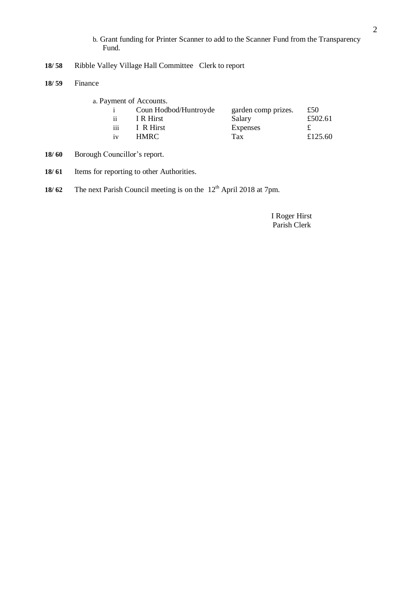- b. Grant funding for Printer Scanner to add to the Scanner Fund from the Transparency Fund.
- **18/ 58** Ribble Valley Village Hall Committee Clerk to report
- **18/ 59** Finance

| a. Payment of Accounts. |                       |                     |         |
|-------------------------|-----------------------|---------------------|---------|
|                         | Coun Hodbod/Huntroyde | garden comp prizes. | £50     |
| ii.                     | I R Hirst             | Salary              | £502.61 |
| iii                     | I R Hirst             | Expenses            |         |
| iv                      | HMRC.                 | Tax                 | £125.60 |

- **18/ 60** Borough Councillor's report.
- **18/ 61** Items for reporting to other Authorities.
- **18/ 62** The next Parish Council meeting is on the 12<sup>th</sup> April 2018 at 7pm.

 I Roger Hirst Parish Clerk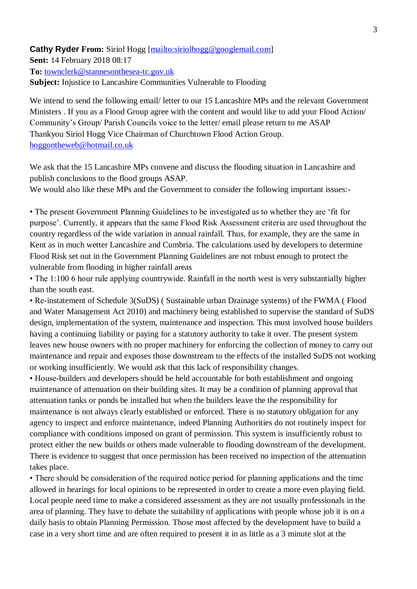# **Cathy Ryder From:** Siriol Hogg [\[mailto:siriolhogg@googlemail.com\]](mailto:siriolhogg@googlemail.com) **Sent:** 14 February 2018 08:17 **To:** [townclerk@stannesonthesea-tc.gov.uk](mailto:townclerk@stannesonthesea-tc.gov.uk)

**Subject:** Injustice to Lancashire Communities Vulnerable to Flooding

We intend to send the following email/ letter to our 15 Lancashire MPs and the relevant Government Ministers . If you as a Flood Group agree with the content and would like to add your Flood Action/ Community's Group/ Parish Councils voice to the letter/ email please return to me ASAP Thankyou Siriol Hogg Vice Chairman of Churchtown Flood Action Group. [hoggontheweb@hotmail.co.uk](mailto:hoggontheweb@hotmail.co.uk)

We ask that the 15 Lancashire MPs convene and discuss the flooding situation in Lancashire and publish conclusions to the flood groups ASAP.

We would also like these MPs and the Government to consider the following important issues:-

• The present Government Planning Guidelines to be investigated as to whether they are 'fit for purpose'. Currently, it appears that the same Flood Risk Assessment criteria are used throughout the country regardless of the wide variation in annual rainfall. Thus, for example, they are the same in Kent as in much wetter Lancashire and Cumbria. The calculations used by developers to determine Flood Risk set out in the Government Planning Guidelines are not robust enough to protect the vulnerable from flooding in higher rainfall areas

• The 1:100 6 hour rule applying countrywide. Rainfall in the north west is very substantially higher than the south east.

• Re-instatement of Schedule 3(SuDS) ( Sustainable urban Drainage systems) of the FWMA ( Flood and Water Management Act 2010) and machinery being established to supervise the standard of SuDS design, implementation of the system, maintenance and inspection. This must involved house builders having a continuing liability or paying for a statutory authority to take it over. The present system leaves new house owners with no proper machinery for enforcing the collection of money to carry out maintenance and repair and exposes those downstream to the effects of the installed SuDS not working or working insufficiently. We would ask that this lack of responsibility changes.

• House-builders and developers should be held accountable for both establishment and ongoing maintenance of attenuation on their building sites. It may be a condition of planning approval that attenuation tanks or ponds be installed but when the builders leave the the responsibility for maintenance is not always clearly established or enforced. There is no statutory obligation for any agency to inspect and enforce maintenance, indeed Planning Authorities do not routinely inspect for compliance with conditions imposed on grant of permission. This system is insufficiently robust to protect either the new builds or others made vulnerable to flooding downstream of the development. There is evidence to suggest that once permission has been received no inspection of the attenuation takes place.

• There should be consideration of the required notice period for planning applications and the time allowed in hearings for local opinions to be represented in order to create a more even playing field. Local people need time to make a considered assessment as they are not usually professionals in the area of planning. They have to debate the suitability of applications with people whose job it is on a daily basis to obtain Planning Permission. Those most affected by the development have to build a case in a very short time and are often required to present it in as little as a 3 minute slot at the